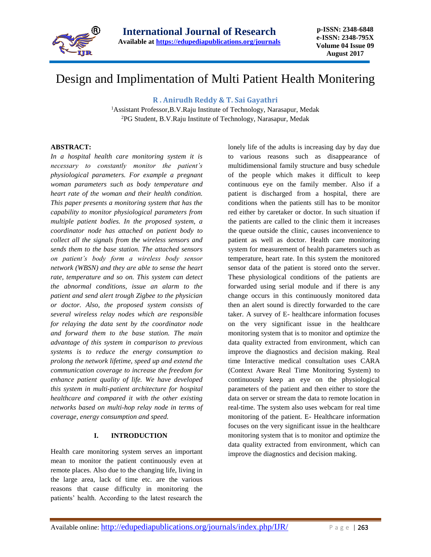

# Design and Implimentation of Multi Patient Health Monitering

**R . Anirudh Reddy & T. Sai Gayathri**

<sup>1</sup>Assistant Professor,B.V.Raju Institute of Technology, Narasapur, Medak <sup>2</sup>PG Student, B.V.Raju Institute of Technology, Narasapur, Medak

### **ABSTRACT:**

*In a hospital health care monitoring system it is necessary to constantly monitor the patient's physiological parameters. For example a pregnant woman parameters such as body temperature and heart rate of the woman and their health condition. This paper presents a monitoring system that has the capability to monitor physiological parameters from multiple patient bodies. In the proposed system, a coordinator node has attached on patient body to collect all the signals from the wireless sensors and sends them to the base station. The attached sensors on patient's body form a wireless body sensor network (WBSN) and they are able to sense the heart rate, temperature and so on. This system can detect the abnormal conditions, issue an alarm to the patient and send alert trough Zigbee to the physician or doctor. Also, the proposed system consists of several wireless relay nodes which are responsible for relaying the data sent by the coordinator node and forward them to the base station. The main advantage of this system in comparison to previous systems is to reduce the energy consumption to prolong the network lifetime, speed up and extend the communication coverage to increase the freedom for enhance patient quality of life. We have developed this system in multi-patient architecture for hospital healthcare and compared it with the other existing networks based on multi-hop relay node in terms of coverage, energy consumption and speed.*

#### **I. INTRODUCTION**

Health care monitoring system serves an important mean to monitor the patient continuously even at remote places. Also due to the changing life, living in the large area, lack of time etc. are the various reasons that cause difficulty in monitoring the patients' health. According to the latest research the

lonely life of the adults is increasing day by day due to various reasons such as disappearance of multidimensional family structure and busy schedule of the people which makes it difficult to keep continuous eye on the family member. Also if a patient is discharged from a hospital, there are conditions when the patients still has to be monitor red either by caretaker or doctor. In such situation if the patients are called to the clinic them it increases the queue outside the clinic, causes inconvenience to patient as well as doctor. Health care monitoring system for measurement of health parameters such as temperature, heart rate. In this system the monitored sensor data of the patient is stored onto the server. These physiological conditions of the patients are forwarded using serial module and if there is any change occurs in this continuously monitored data then an alert sound is directly forwarded to the care taker. A survey of E- healthcare information focuses on the very significant issue in the healthcare monitoring system that is to monitor and optimize the data quality extracted from environment, which can improve the diagnostics and decision making. Real time Interactive medical consultation uses CARA (Context Aware Real Time Monitoring System) to continuously keep an eye on the physiological parameters of the patient and then either to store the data on server or stream the data to remote location in real-time. The system also uses webcam for real time monitoring of the patient. E- Healthcare information focuses on the very significant issue in the healthcare monitoring system that is to monitor and optimize the data quality extracted from environment, which can improve the diagnostics and decision making.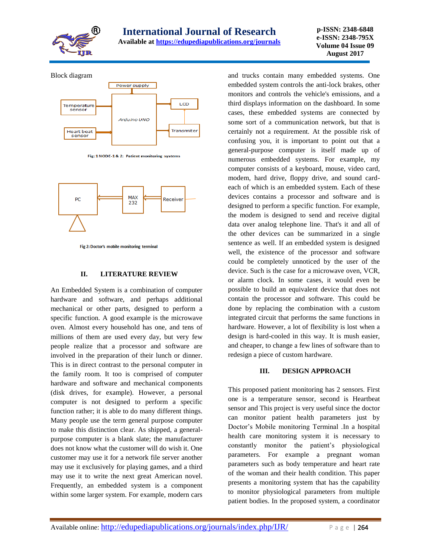

Block diagram



Fig: 1 NODE-1 & 2: Patient monitoring systems



Fig 2: Doctor's mobile monitoring terminal

#### **II. LITERATURE REVIEW**

An Embedded System is a combination of computer hardware and software, and perhaps additional mechanical or other parts, designed to perform a specific function. A good example is the microwave oven. Almost every household has one, and tens of millions of them are used every day, but very few people realize that a processor and software are involved in the preparation of their lunch or dinner. This is in direct contrast to the personal computer in the family room. It too is comprised of computer hardware and software and mechanical components (disk drives, for example). However, a personal computer is not designed to perform a specific function rather; it is able to do many different things. Many people use the term general purpose computer to make this distinction clear. As shipped, a generalpurpose computer is a blank slate; the manufacturer does not know what the customer will do wish it. One customer may use it for a network file server another may use it exclusively for playing games, and a third may use it to write the next great American novel. Frequently, an embedded system is a component within some larger system. For example, modern cars

and trucks contain many embedded systems. One embedded system controls the anti-lock brakes, other monitors and controls the vehicle's emissions, and a third displays information on the dashboard. In some cases, these embedded systems are connected by some sort of a communication network, but that is certainly not a requirement. At the possible risk of confusing you, it is important to point out that a general-purpose computer is itself made up of numerous embedded systems. For example, my computer consists of a keyboard, mouse, video card, modem, hard drive, floppy drive, and sound cardeach of which is an embedded system. Each of these devices contains a processor and software and is designed to perform a specific function. For example, the modem is designed to send and receive digital data over analog telephone line. That's it and all of the other devices can be summarized in a single sentence as well. If an embedded system is designed well, the existence of the processor and software could be completely unnoticed by the user of the device. Such is the case for a microwave oven, VCR, or alarm clock. In some cases, it would even be possible to build an equivalent device that does not contain the processor and software. This could be done by replacing the combination with a custom integrated circuit that performs the same functions in hardware. However, a lot of flexibility is lost when a design is hard-cooled in this way. It is mush easier, and cheaper, to change a few lines of software than to redesign a piece of custom hardware.

#### **III. DESIGN APPROACH**

This proposed patient monitoring has 2 sensors. First one is a temperature sensor, second is Heartbeat sensor and This project is very useful since the doctor can monitor patient health parameters just by Doctor's Mobile monitoring Terminal .In a hospital health care monitoring system it is necessary to constantly monitor the patient's physiological parameters. For example a pregnant woman parameters such as body temperature and heart rate of the woman and their health condition. This paper presents a monitoring system that has the capability to monitor physiological parameters from multiple patient bodies. In the proposed system, a coordinator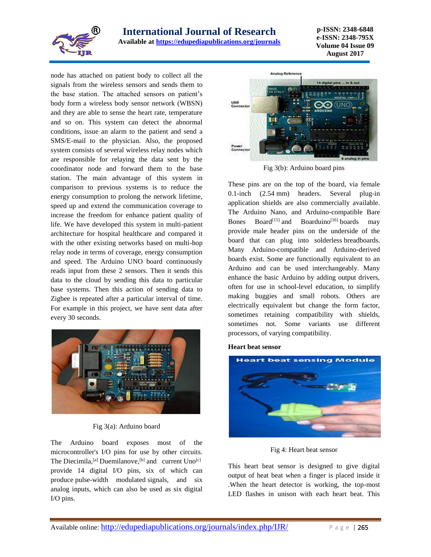

**p-ISSN: 2348-6848 e-ISSN: 2348-795X Volume 04 Issue 09 August 2017**

node has attached on patient body to collect all the signals from the wireless sensors and sends them to the base station. The attached sensors on patient's body form a wireless body sensor network (WBSN) and they are able to sense the heart rate, temperature and so on. This system can detect the abnormal conditions, issue an alarm to the patient and send a SMS/E-mail to the physician. Also, the proposed system consists of several wireless relay nodes which are responsible for relaying the data sent by the coordinator node and forward them to the base station. The main advantage of this system in comparison to previous systems is to reduce the energy consumption to prolong the network lifetime, speed up and extend the communication coverage to increase the freedom for enhance patient quality of life. We have developed this system in multi-patient architecture for hospital healthcare and compared it with the other existing networks based on multi-hop relay node in terms of coverage, energy consumption and speed. The Arduino UNO board continuously reads input from these 2 sensors. Then it sends this data to the cloud by sending this data to particular base systems. Then this action of sending data to Zigbee is repeated after a particular interval of time. For example in this project, we have sent data after every 30 seconds.



#### Fig 3(a): Arduino board

The Arduino board exposes most of the microcontroller's I/O pins for use by other circuits. The Diecimila,  $^{[a]}$  $^{[a]}$  $^{[a]}$  Duemilanove,  $^{[b]}$  $^{[b]}$  $^{[b]}$  and current Uno $^{[c]}$  $^{[c]}$  $^{[c]}$ provide 14 digital I/O pins, six of which can produce [pulse-width modulated](https://en.wikipedia.org/wiki/Pulse-width_modulation) signals, and six analog inputs, which can also be used as six digital I/O pins.



Fig 3(b): Arduino board pins

These pins are on the top of the board, via female 0.1-inch (2.54 mm) headers. Several plug-in application shields are also commercially available. The Arduino Nano, and Arduino-compatible Bare Bones Board<sup>[\[15\]](https://en.wikipedia.org/wiki/Arduino#cite_note-18)</sup> and Boarduino<sup>[\[16\]](https://en.wikipedia.org/wiki/Arduino#cite_note-19)</sup> boards may provide male header pins on the underside of the board that can plug into solderless breadboards. Many Arduino-compatible and Arduino-derived boards exist. Some are functionally equivalent to an Arduino and can be used interchangeably. Many enhance the basic Arduino by adding output drivers, often for use in school-level education, to simplify making buggies and small robots. Others are electrically equivalent but change the form factor, sometimes retaining compatibility with shields, sometimes not. Some variants use different processors, of varying compatibility.

#### **Heart beat sensor**



Fig 4: Heart beat sensor

This heart beat sensor is designed to give digital output of heat beat when a finger is placed inside it .When the heart detector is working, the top-most LED flashes in unison with each heart beat. This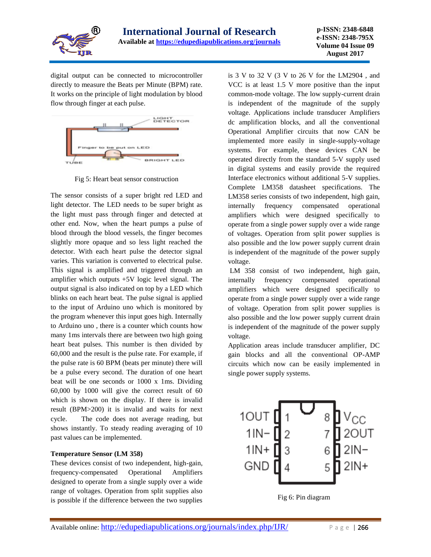

digital output can be connected to microcontroller directly to measure the Beats per Minute (BPM) rate. It works on the principle of light modulation by blood flow through finger at each pulse.



Fig 5: Heart beat sensor construction

The sensor consists of a super bright red LED and light detector. The LED needs to be super bright as the light must pass through finger and detected at other end. Now, when the heart pumps a pulse of blood through the blood vessels, the finger becomes slightly more opaque and so less light reached the detector. With each heart pulse the detector signal varies. This variation is converted to electrical pulse. This signal is amplified and triggered through an amplifier which outputs +5V logic level signal. The output signal is also indicated on top by a LED which blinks on each heart beat. The pulse signal is applied to the input of Arduino uno which is monitored by the program whenever this input goes high. Internally to Arduino uno , there is a counter which counts how many 1ms intervals there are between two high going heart beat pulses. This number is then divided by 60,000 and the result is the pulse rate. For example, if the pulse rate is 60 BPM (beats per minute) there will be a pulse every second. The duration of one heart beat will be one seconds or 1000 x 1ms. Dividing 60,000 by 1000 will give the correct result of 60 which is shown on the display. If there is invalid result (BPM>200) it is invalid and waits for next cycle. The code does not average reading, but shows instantly. To steady reading averaging of 10 past values can be implemented.

#### **Temperature Sensor (LM 358)**

These devices consist of two independent, high-gain, frequency-compensated Operational Amplifiers designed to operate from a single supply over a wide range of voltages. Operation from split supplies also is possible if the difference between the two supplies

is 3 V to 32 V (3 V to 26 V for the LM2904 , and VCC is at least 1.5 V more positive than the input common-mode voltage. The low supply-current drain is independent of the magnitude of the supply voltage. Applications include transducer Amplifiers dc amplification blocks, and all the conventional Operational Amplifier circuits that now CAN be implemented more easily in single-supply-voltage systems. For example, these devices CAN be operated directly from the standard 5-V supply used in digital systems and easily provide the required Interface electronics without additional 5-V supplies. Complete LM358 datasheet specifications. The LM358 series consists of two independent, high gain, internally frequency compensated operational amplifiers which were designed specifically to operate from a single power supply over a wide range of voltages. Operation from split power supplies is also possible and the low power supply current drain is independent of the magnitude of the power supply voltage.

LM 358 consist of two independent, high gain, internally frequency compensated operational amplifiers which were designed specifically to operate from a single power supply over a wide range of voltage. Operation from split power supplies is also possible and the low power supply current drain is independent of the magnitude of the power supply voltage.

Application areas include transducer amplifier, DC gain blocks and all the conventional OP-AMP circuits which now can be easily implemented in single power supply systems.



Fig 6: Pin diagram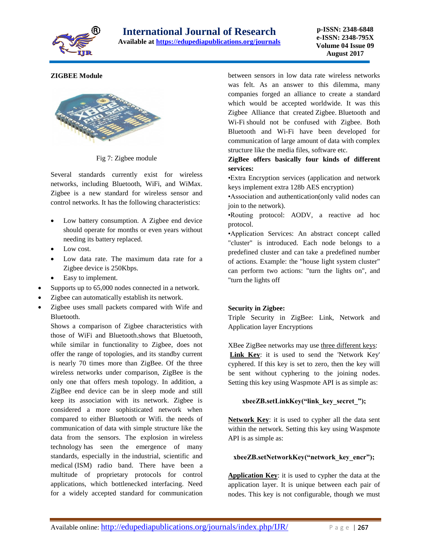

## **ZIGBEE Module**



Fig 7: Zigbee module

Several standards currently exist for wireless networks, including Bluetooth, WiFi, and WiMax. Zigbee is a new standard for wireless sensor and control networks. It has the following characteristics:

- Low battery consumption. A Zigbee end device should operate for months or even years without needing its battery replaced.
- Low cost.
- Low data rate. The maximum data rate for a Zigbee device is 250Kbps.
- Easy to implement.
- Supports up to 65,000 nodes connected in a network.
- Zigbee can automatically establish its network.
- Zigbee uses small packets compared with Wife and Bluetooth.

Shows a comparison of Zigbee characteristics with those of WiFi and Bluetooth.shows that Bluetooth, while similar in functionality to Zigbee, does not offer the range of topologies, and its standby current is nearly 70 times more than ZigBee. Of the three wireless networks under comparison, ZigBee is the only one that offers mesh topology. In addition, a ZigBee end device can be in sleep mode and still keep its association with its network. Zigbee is considered a more sophisticated network when compared to either Bluetooth or Wifi. the needs of communication of data with simple structure like the data from the sensors. The explosion in [wireless](http://www.engineersgarage.com/articles/wireless_communication) [technology](http://www.engineersgarage.com/articles/wireless_communication) has seen the emergence of many standards, especially in the industrial, scientific and medical (ISM) radio band. There have been a multitude of proprietary protocols for control applications, which bottlenecked interfacing. Need for a widely accepted standard for communication

between sensors in low data rate wireless networks was felt. As an answer to this dilemma, many companies forged an alliance to create a standard which would be accepted worldwide. It was this Zigbee Alliance that created Zigbee. [Bluetooth](http://www.engineersgarage.com/contribution/difference-between-bluetooth-and-wifi) and [Wi-Fi](http://www.engineersgarage.com/contribution/difference-between-bluetooth-and-wifi) should not be confused with Zigbee. Both Bluetooth and Wi-Fi have been developed for communication of large amount of data with complex structure like the media files, software etc.

**ZigBee offers basically four kinds of different services:**

•Extra Encryption services (application and network keys implement extra 128b AES encryption)

•Association and authentication(only valid nodes can join to the network).

•Routing protocol: AODV, a reactive ad hoc protocol.

•Application Services: An abstract concept called "cluster" is introduced. Each node belongs to a predefined cluster and can take a predefined number of actions. Example: the "house light system cluster" can perform two actions: "turn the lights on", and "turn the lights off

#### **Security in Zigbee:**

Triple Security in ZigBee: Link, Network and Application layer Encryptions

XBee ZigBee networks may use three different keys: **Link Key**: it is used to send the 'Network Key' cyphered. If this key is set to zero, then the key will be sent without cyphering to the joining nodes. Setting this key using Waspmote API is as simple as:

## **xbeeZB.setLinkKey("link\_key\_secret\_");**

**Network Key**: it is used to cypher all the data sent within the network. Setting this key using Waspmote API is as simple as:

## **xbeeZB.setNetworkKey("network\_key\_encr");**

**Application Key**: it is used to cypher the data at the application layer. It is unique between each pair of nodes. This key is not configurable, though we must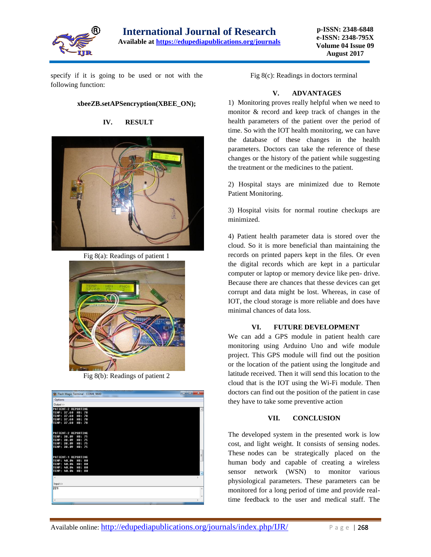

**p-ISSN: 2348-6848 e-ISSN: 2348-795X Volume 04 Issue 09 August 2017**

specify if it is going to be used or not with the following function:

### **xbeeZB.setAPSencryption(XBEE\_ON);**



**IV. RESULT**

Fig 8(a): Readings of patient 1



Fig 8(b): Readings of patient 2

| So Flash Magic Terminal - COM4, 9600           | $-10$<br>$\overline{\mathbf{x}}$ |
|------------------------------------------------|----------------------------------|
| Options                                        |                                  |
| Qutput >>                                      |                                  |
| PATIENT-2 REPORTING                            |                                  |
| TEMP: 37.60<br>HB: 78                          |                                  |
| TEMP: 37.60<br>HB: 78                          |                                  |
| TEMP: 37.60<br>HB: 78<br>TEMP: 37.60<br>HB: 78 |                                  |
|                                                |                                  |
|                                                |                                  |
| PATIENT-2 REPORTING                            |                                  |
| TEMP: 38.09<br>HB: 75                          |                                  |
| TEMP: 38.09<br>HB: 75                          |                                  |
| TEMP: 38.09<br>HB: 75<br>TEMP: 38.09<br>HB: 75 |                                  |
|                                                |                                  |
|                                                |                                  |
| PATIENT-1 REPORTING                            |                                  |
| TEMP: 40.04<br>HB: 80                          |                                  |
| TEMP: 40.04<br>HB: 80                          |                                  |
| TEMP: 40.04<br>HB: 80                          |                                  |
| TEMP: 40.04<br>HB: 80                          |                                  |
| $\epsilon$                                     |                                  |
|                                                |                                  |
| $lnput$ >>                                     |                                  |
| 221                                            |                                  |
|                                                |                                  |
|                                                |                                  |
|                                                |                                  |
|                                                |                                  |

Fig 8(c): Readings in doctors terminal

## **V. ADVANTAGES**

1) Monitoring proves really helpful when we need to monitor & record and keep track of changes in the health parameters of the patient over the period of time. So with the IOT health monitoring, we can have the database of these changes in the health parameters. Doctors can take the reference of these changes or the history of the patient while suggesting the treatment or the medicines to the patient.

2) Hospital stays are minimized due to Remote Patient Monitoring.

3) Hospital visits for normal routine checkups are minimized.

4) Patient health parameter data is stored over the cloud. So it is more beneficial than maintaining the records on printed papers kept in the files. Or even the digital records which are kept in a particular computer or laptop or memory device like pen- drive. Because there are chances that thesse devices can get corrupt and data might be lost. Whereas, in case of IOT, the cloud storage is more reliable and does have minimal chances of data loss.

#### **VI. FUTURE DEVELOPMENT**

We can add a GPS module in patient health care monitoring using Arduino Uno and wife module project. This GPS module will find out the position or the location of the patient using the longitude and latitude received. Then it will send this location to the cloud that is the IOT using the Wi-Fi module. Then doctors can find out the position of the patient in case they have to take some preventive action

#### **VII. CONCLUSION**

The developed system in the presented work is low cost, and light weight. It consists of sensing nodes. These nodes can be strategically placed on the human body and capable of creating a wireless sensor network (WSN) to monitor various physiological parameters. These parameters can be monitored for a long period of time and provide realtime feedback to the user and medical staff. The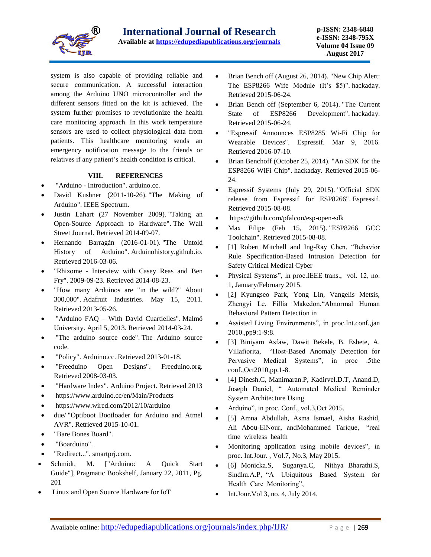

system is also capable of providing reliable and secure communication. A successful interaction among the Arduino UNO microcontroller and the different sensors fitted on the kit is achieved. The system further promises to revolutionize the health care monitoring approach. In this work temperature sensors are used to collect physiological data from patients. This healthcare monitoring sends an emergency notification message to the friends or relatives if any patient's health condition is critical.

## **VIII. REFERENCES**

- "Arduino [Introduction".](https://www.arduino.cc/en/guide/introduction) arduino.cc.
- David Kushner (2011-10-26). "The Making of [Arduino".](http://spectrum.ieee.org/geek-life/hands-on/the-making-of-arduino) [IEEE Spectrum.](https://en.wikipedia.org/wiki/IEEE_Spectrum)
- Justin Lahart (27 November 2009). ["Taking an](https://www.wsj.com/article/SB10001424052748703499404574559960271468066.html) [Open-Source Approach to Hardware".](https://www.wsj.com/article/SB10001424052748703499404574559960271468066.html) [The Wall](https://en.wikipedia.org/wiki/The_Wall_Street_Journal)  [Street Journal.](https://en.wikipedia.org/wiki/The_Wall_Street_Journal) Retrieved 2014-09-07.
- Hernando Barragán (2016-01-01). ["The Untold](http://arduinohistory.github.io/)  [History of Arduino".](http://arduinohistory.github.io/) Arduinohistory.github.io. Retrieved 2016-03-06.
- "Rhizome [Interview with Casey Reas and Ben](http://rhizome.org/editorial/2009/sep/23/interview-with-casey-reas-and-ben-fry/)  [Fry".](http://rhizome.org/editorial/2009/sep/23/interview-with-casey-reas-and-ben-fry/) 2009-09-23. Retrieved 2014-08-23.
- ["How many Arduinos are "in the wild?" About](http://www.adafruit.com/blog/2011/05/15/how-many-arduinos-are-in-the-wild-about-300000/)  [300,000".](http://www.adafruit.com/blog/2011/05/15/how-many-arduinos-are-in-the-wild-about-300000/) [Adafruit Industries.](https://en.wikipedia.org/wiki/Adafruit_Industries) May 15, 2011. Retrieved 2013-05-26.
- "Arduino FAQ [With David Cuartielles".](http://medea.mah.se/2013/04/arduino-faq/) [Malmö](https://en.wikipedia.org/wiki/Malm%C3%B6_University) [University.](https://en.wikipedia.org/wiki/Malm%C3%B6_University) April 5, 2013. Retrieved 2014-03-24.
- ["The arduino source code".](https://github.com/arduino/Arduino) The Arduino source code.
- ["Policy".](https://www.arduino.cc/en/Main/Policy) Arduino.cc. Retrieved 2013-01-18.
- ["Freeduino Open Designs".](http://www.freeduino.org/freeduino_open_designs.html) Freeduino.org. Retrieved 2008-03-03.
- ["Hardware Index".](https://www.arduino.cc/en/main/boards) Arduino Project. Retrieved 2013
- <https://www.arduino.cc/en/Main/Products>
- [https://www.wired.com/2012/10/arduino](https://www.wired.com/2012/10/arduino-due/)
- [due/](https://www.wired.com/2012/10/arduino-due/) "Optiboot Bootloader [for Arduino and Atmel](https://github.com/Optiboot/optiboot)  [AVR".](https://github.com/Optiboot/optiboot) Retrieved 2015-10-01.
- ["Bare Bones Board".](http://moderndevice.com/product/bare-bones-board-bbb-kit/)
- ["Boarduino".](https://www.adafruit.com/products/72)
- ["Redirect...".](http://smartprj.com/) smartprj.com.
- Schmidt, M. ["Arduino: A Quick Start Guide"], [Pragmatic Bookshelf,](https://en.wikipedia.org/wiki/Pragmatic_Bookshelf) January 22, 2011, Pg. 201
- [Linux and Open Source Hardware for IoT](https://www.linux.com/news/linux-and-open-source-hardware-iot)
- Brian Bench off (August 26, 2014). "New Chip Alert: [The ESP8266 Wife](http://hackaday.com/2014/08/26/new-chip-alert-the-esp8266-wifi-module-its-5/) Module (It's \$5)". [hackaday.](https://en.wikipedia.org/wiki/Hackaday) Retrieved 2015-06-24.
- Brian Bench off (September 6, 2014). "The Current [State of ESP8266](http://hackaday.com/2014/09/06/the-current-state-of-esp8266-development/) Development". [hackaday.](https://en.wikipedia.org/wiki/Hackaday) Retrieved 2015-06-24.
- ["Espressif Announces ESP8285 Wi-Fi Chip for](https://espressif.com/en/media_overview/news/espressif-announces-esp8285-wi-fi-chip-wearable-devices)  [Wearable Devices".](https://espressif.com/en/media_overview/news/espressif-announces-esp8285-wi-fi-chip-wearable-devices) Espressif. Mar 9, 2016. Retrieved 2016-07-10.
- Brian Benchoff (October 25, 2014). "An SDK for the [ESP8266 WiFi Chip".](http://hackaday.com/2014/10/25/an-sdk-for-the-esp8266-wifi-chip/) [hackaday.](https://en.wikipedia.org/wiki/Hackaday) Retrieved 2015-06- 24.
- Espressif Systems (July 29, 2015). ["Official SDK](http://bbs.espressif.com/viewforum.php?f=46/)  [release from Espressif for ESP8266".](http://bbs.espressif.com/viewforum.php?f=46/) [Espressif.](https://en.wikipedia.org/w/index.php?title=Espressif&action=edit&redlink=1) Retrieved 2015-08-08.
- <https://github.com/pfalcon/esp-open-sdk>
- Max Filipe (Feb 15, 2015). ["ESP8266 GCC](https://github.com/esp8266/esp8266-wiki/wiki/Toolchain)  [Toolchain".](https://github.com/esp8266/esp8266-wiki/wiki/Toolchain) Retrieved 2015-08-08.
- [1] Robert Mitchell and Ing-Ray Chen, "Behavior Rule Specification-Based Intrusion Detection for Safety Critical Medical Cyber
- Physical Systems", in proc.IEEE trans., vol. 12, no. 1, January/February 2015.
- [2] Kyungseo Park, Yong Lin, Vangelis Metsis, Zhengyi Le, Fillia Makedon,"Abnormal Human Behavioral Pattern Detection in
- Assisted Living Environments", in proc.Int.conf.,jan 2010.,pp9:1-9:8.
- [3] Biniyam Asfaw, Dawit Bekele, B. Eshete, A. Villafiorita, "Host-Based Anomaly Detection for Pervasive Medical Systems", in proc .5the conf.,Oct2010,pp.1-8.
- [4] Dinesh.C, Manimaran.P, Kadirvel.D.T, Anand.D, Joseph Daniel, " Automated Medical Reminder System Architecture Using
- Arduino", in proc. Conf., vol.3, Oct 2015.
- [5] Amna Abdullah, Asma Ismael, Aisha Rashid, Ali Abou-ElNour, andMohammed Tarique, "real time wireless health
- Monitoring application using mobile devices", in proc. Int.Jour. , Vol.7, No.3, May 2015.
- [6] Monicka.S, Suganya.C, Nithya Bharathi.S, Sindhu.A.P, "A Ubiquitous Based System for Health Care Monitoring",
- $\bullet$  Int.Jour. Vol 3, no. 4, July 2014.